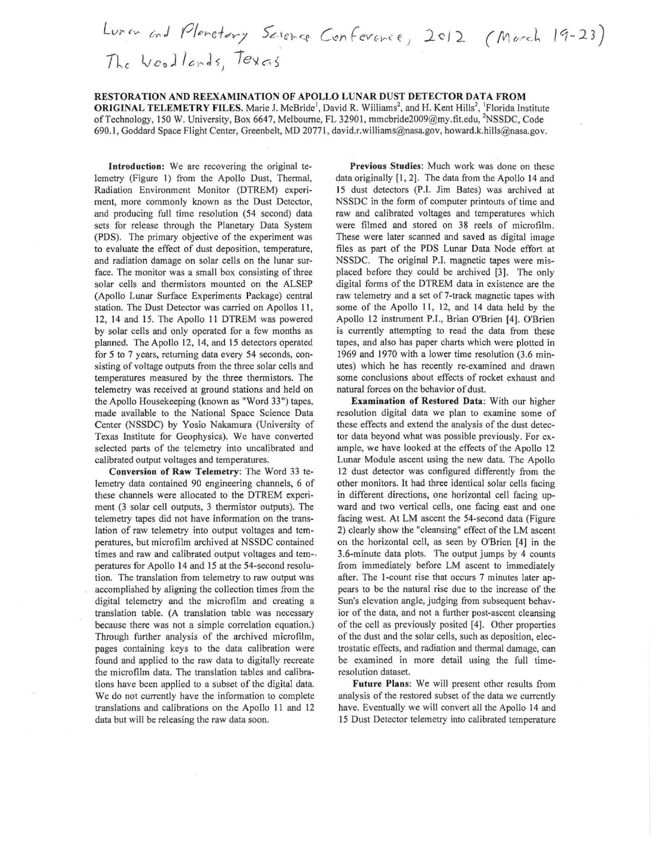Luran and Planetary Science Conference, 2012 (March 19-23) The Woodlands, Texas

RESTORATION AND REEXAMINATION OF APOLLO LUNAR DUST DETECTOR DATA FROM ORIGINAL TELEMETRY FILES. Marie J. McBride<sup>1</sup>, David R. Williams<sup>2</sup>, and H. Kent Hills<sup>2</sup>, <sup>1</sup>Florida Institute of Technology, 150 W. University, Box 6647, Melbourne, FL 32901, mmcbride2009@my.fit.edu, <sup>2</sup>NSSDC, Code 690.1, Goddard Space Flight Center, Greenbelt, MD 20771, david.r.williams@nasa.gov, howard.k.hills@nasa.gov.

Introduction: We are recovering the original telemetry (Figure 1) from the Apollo Dust, Thermal, Radiation Environment Monitor (DTREM) experiment, more commonly known as the Dust Detector, and producing full time resolution (54 second) data sets for release through the Planetary Data System (PDS). The primary objective of the experiment was to evaluate the effect of dust deposition, temperature, and radiation damage on solar cells on the lunar surface. The monitor was a small box consisting of three solar cells and thermistors mounted on the ALSEP (Apollo Lunar Surface Experiments Package) central station. The Dust Detector was carried on Apollos 11, 12, 14 and IS. The Apollo 11 DTREM was powered by solar cells and only operated for a few months as planned. The Apollo 12, 14, and 15 detectors operated for 5 to 7 years, returning data every 54 seconds, consisting of voltage outputs from the three solar cells and temperatures measured by the three thermistors. The telemetry was received at ground stations and held on the Apollo Housekeeping (known as "Word 33") tapes. made available to the National Space Science Data Center (NSSDC) by Yosio Nakamura (University of Texas Institute for Geophysics). We have converted selected parts of the telemetry into uncalibrated and calibrated output voltages and temperatures.

Conversion of Raw Telemetry: The Word 33 telemetry data contained 90 engineering channels, 6 of these channels were allocated to the DTREM experiment (3 solar cell outputs, 3 thermistor outputs). The telemetry tapes did not have information on the translation of raw telemetry into output voltages and temperatures, but microfilm archived at NSSDC contained times and raw and calibrated output voltages and tem-. peratures for Apollo 14 and 15 at the 54-second resolution. The translation from telemetry to raw output was accomplished by aligning the collection times from the digital telemetry and the microfilm and creating a translation table. (A translation table was necessary because there was not a simple correlation equation.) Through further analysis of the archived microfilm, pages containing keys to the data calibration were found and applied to the raw data to digitally recreate the microfilm data. The translation tables and calibrations have been applied to a subset of the digital data. We do not currently have the information to complete translations and calibrations on the Apollo 11 and 12 data but will be releasing the raw data soon.

Previous Studies: Much work was done on these data originally [1, 2]. The data from the Apollo 14 and 15 dust detectors (P.I. Jim Bates) was archived at NSSDC in the form of computer printouts of time and raw and calibrated voltages and temperatures which were filmed and stored on 38 reels of microfilm. These were later scanned and saved as digital image files as part of the PDS Lunar Data Node effort at NSSDC. The original P.I. magnetic tapes were misplaced before they could be archived [3]. The only digital forms of the DTREM data in existence are the raw telemetry and a set of 7-track magnetic tapes with some of the Apollo II, 12, and 14 data held by the Apollo 12 instrument P.l., Brian O'Brien [4J. O'Brien is currently attempting to read the data from these tapes, and also has paper charts which were plotted in 1969 and 1970 with a lower time resolution (3.6 minutes) which he has recently re-examined and drawn some conclusions about effects of rocket exhaust and natural forces on the behavior of dust.

Examination of Restored Data: With our higher resolution digital data we plan to examine some of these effects and extend the analysis of the dust detector data beyond what was possible previously. For example, we have looked at the effects of the Apollo 12 Lunar Module ascent using the new data. The Apollo I2 dust detector was configured differently from the other monitors. It had three identical solar cells facing in different directions, one horizontal cell facing upward and two vertical cells, one facing east and one facing west. At LM ascent the 54-second data (Figure 2) clearly show the "cleansing" effect of the LM ascent on the horizontal cell, as seen by O'Brien [4] in the 3.6-minute data plots. The output jumps by 4 counts from immediately before LM ascent to immediately after. The I-count rise that occurs 7 minutes later appears to be the natural rise due to the increase of the Sun's elevation angle, judging from subsequent behavior of the data, and not a further post-ascent cleansing of the cell as previously posited [4]. Other properties of the dust and the solar cells, such as deposition, electrostatic effects, and radiation and thermal damage, can be examined in more detail using the full timeresolution dataset.

Future Plans: We will prescnt other results from analysis of the restored subset of the data we currently have. Eventually we will convert all the Apollo 14 and 15 Dust Detector telemetry into calibrated temperature